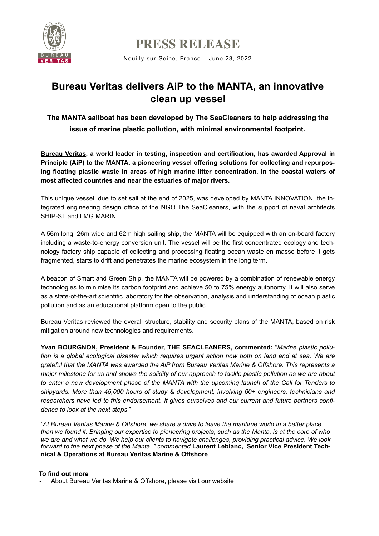

**PRESS RELEASE** 

Neuilly-sur-Seine, France – June 23, 2022

# **Bureau Veritas delivers AiP to the MANTA, an innovative clean up vessel**

**The MANTA sailboat has been developed by The SeaCleaners to help addressing the issue of marine plastic pollution, with minimal environmental footprint.**

**[Bureau Veritas](https://group.bureauveritas.com/), a world leader in testing, inspection and certification, has awarded Approval in Principle (AiP) to the MANTA, a pioneering vessel offering solutions for collecting and repurposing floating plastic waste in areas of high marine litter concentration, in the coastal waters of most affected countries and near the estuaries of major rivers.**

This unique vessel, due to set sail at the end of 2025, was developed by MANTA INNOVATION, the integrated engineering design office of the NGO The SeaCleaners, with the support of naval architects SHIP-ST and LMG MARIN.

A 56m long, 26m wide and 62m high sailing ship, the MANTA will be equipped with an on-board factory including a waste-to-energy conversion unit. The vessel will be the first concentrated ecology and technology factory ship capable of collecting and processing floating ocean waste en masse before it gets fragmented, starts to drift and penetrates the marine ecosystem in the long term.

A beacon of Smart and Green Ship, the MANTA will be powered by a combination of renewable energy technologies to minimise its carbon footprint and achieve 50 to 75% energy autonomy. It will also serve as a state-of-the-art scientific laboratory for the observation, analysis and understanding of ocean plastic pollution and as an educational platform open to the public.

Bureau Veritas reviewed the overall structure, stability and security plans of the MANTA, based on risk mitigation around new technologies and requirements.

**Yvan BOURGNON, President & Founder, THE SEACLEANERS, commented:** "*Marine plastic pollution is a global ecological disaster which requires urgent action now both on land and at sea. We are grateful that the MANTA was awarded the AiP from Bureau Veritas Marine & Offshore. This represents a major milestone for us and shows the solidity of our approach to tackle plastic pollution as we are about to enter a new development phase of the MANTA with the upcoming launch of the Call for Tenders to shipyards. More than 45,000 hours of study & development, involving 60+ engineers, technicians and researchers have led to this endorsement. It gives ourselves and our current and future partners confidence to look at the next steps*."

*"At Bureau Veritas Marine & Offshore, we share a drive to leave the maritime world in a better place than we found it. Bringing our expertise to pioneering projects, such as the Manta, is at the core of who we are and what we do. We help our clients to navigate challenges, providing practical advice. We look forward to the next phase of the Manta. " commented* **Laurent Leblanc, Senior Vice President Technical & Operations at Bureau Veritas Marine & Offshore**

## **To find out more**

- About Bureau Veritas Marine & Offshore, please visit [our website](https://marine-offshore.bureauveritas.com/)